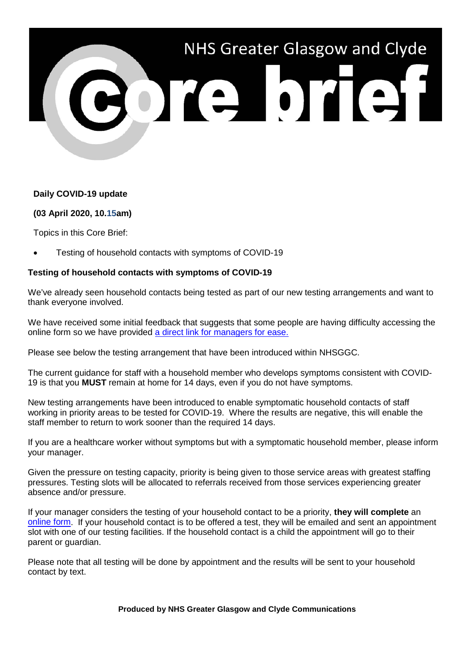

## **Daily COVID-19 update**

## **(03 April 2020, 10.15am)**

Topics in this Core Brief:

• Testing of household contacts with symptoms of COVID-19

## **Testing of household contacts with symptoms of COVID-19**

We've already seen household contacts being tested as part of our new testing arrangements and want to thank everyone involved.

We have received some initial feedback that suggests that some people are having difficulty accessing the online form so we have provided [a direct link for managers for ease.](https://forms.office.com/Pages/ResponsePage.aspx?id=veDvEDCgykuAnLXmdF5JmgW9YoY5w-BDlHK7ghonYUBUM1FUUkdQSTFYOTE5VzIzMlpESVEzTEFWQyQlQCN0PWcu)

Please see below the testing arrangement that have been introduced within NHSGGC.

The current guidance for staff with a household member who develops symptoms consistent with COVID-19 is that you **MUST** remain at home for 14 days, even if you do not have symptoms.

New testing arrangements have been introduced to enable symptomatic household contacts of staff working in priority areas to be tested for COVID-19. Where the results are negative, this will enable the staff member to return to work sooner than the required 14 days.

If you are a healthcare worker without symptoms but with a symptomatic household member, please inform your manager.

Given the pressure on testing capacity, priority is being given to those service areas with greatest staffing pressures. Testing slots will be allocated to referrals received from those services experiencing greater absence and/or pressure.

If your manager considers the testing of your household contact to be a priority, **they will complete** an [online form.](https://forms.office.com/Pages/ResponsePage.aspx?id=veDvEDCgykuAnLXmdF5JmgW9YoY5w-BDlHK7ghonYUBUM1FUUkdQSTFYOTE5VzIzMlpESVEzTEFWQyQlQCN0PWcu) If your household contact is to be offered a test, they will be emailed and sent an appointment slot with one of our testing facilities. If the household contact is a child the appointment will go to their parent or guardian.

Please note that all testing will be done by appointment and the results will be sent to your household contact by text.

**Produced by NHS Greater Glasgow and Clyde Communications**